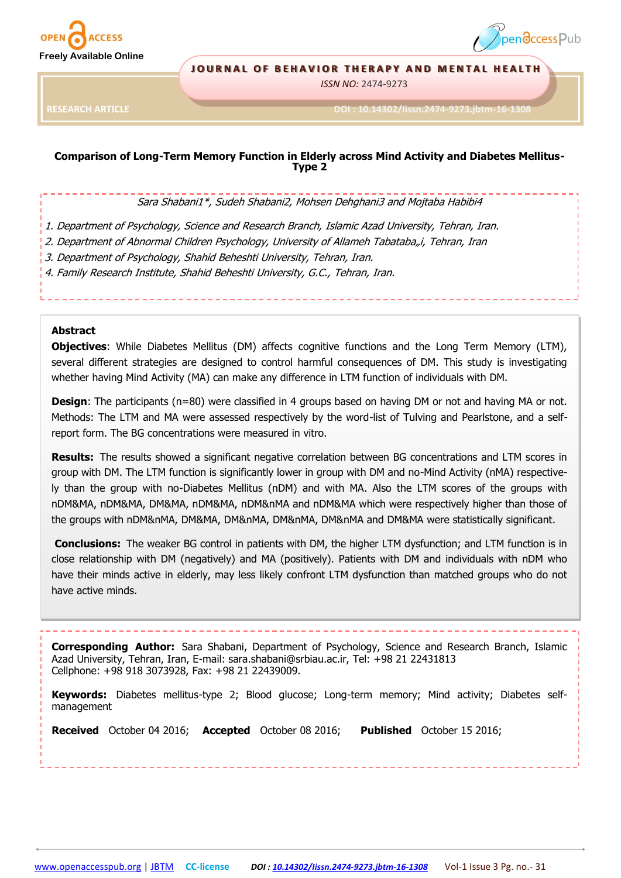



#### **JOURNAL OF BEHAVIOR THERAPY AND MENTAL HEALTH**

*ISSN NO:* 2474-9273

**RESEARCH ARTICLE**

**DOI : 10.14302/Iissn.2474-9273.jbtm-16-1308** 

# **Comparison of Long-Term Memory Function in Elderly across Mind Activity and Diabetes Mellitus-Type 2**

#### Sara Shabani1\*, Sudeh Shabani2, Mohsen Dehghani3 and Mojtaba Habibi4

1. Department of Psychology, Science and Research Branch, Islamic Azad University, Tehran, Iran.

- 2. Department of Abnormal Children Psychology, University of Allameh Tabataba,i, Tehran, Iran
- 3. Department of Psychology, Shahid Beheshti University, Tehran, Iran.

4. Family Research Institute, Shahid Beheshti University, G.C., Tehran, Iran.

## **Abstract**

**Objectives**: While Diabetes Mellitus (DM) affects cognitive functions and the Long Term Memory (LTM), several different strategies are designed to control harmful consequences of DM. This study is investigating whether having Mind Activity (MA) can make any difference in LTM function of individuals with DM.

**Design**: The participants (n=80) were classified in 4 groups based on having DM or not and having MA or not. Methods: The LTM and MA were assessed respectively by the word-list of Tulving and Pearlstone, and a selfreport form. The BG concentrations were measured in vitro.

**Results:** The results showed a significant negative correlation between BG concentrations and LTM scores in group with DM. The LTM function is significantly lower in group with DM and no-Mind Activity (nMA) respectively than the group with no-Diabetes Mellitus (nDM) and with MA. Also the LTM scores of the groups with nDM&MA, nDM&MA, DM&MA, nDM&MA, nDM&nMA and nDM&MA which were respectively higher than those of the groups with nDM&nMA, DM&MA, DM&nMA, DM&nMA, DM&nMA and DM&MA were statistically significant.

**Conclusions:** The weaker BG control in patients with DM, the higher LTM dysfunction; and LTM function is in close relationship with DM (negatively) and MA (positively). Patients with DM and individuals with nDM who have their minds active in elderly, may less likely confront LTM dysfunction than matched groups who do not have active minds.

**Corresponding Author:** Sara Shabani, Department of Psychology, Science and Research Branch, Islamic Azad University, Tehran, Iran, E-mail: sara.shabani@srbiau.ac.ir, Tel: +98 21 22431813 Cellphone: +98 918 3073928, Fax: +98 21 22439009.

**Keywords:** Diabetes mellitus-type 2; Blood glucose; Long-term memory; Mind activity; Diabetes selfmanagement

**Received** October 04 2016; **Accepted** October 08 2016; **Published** October 15 2016;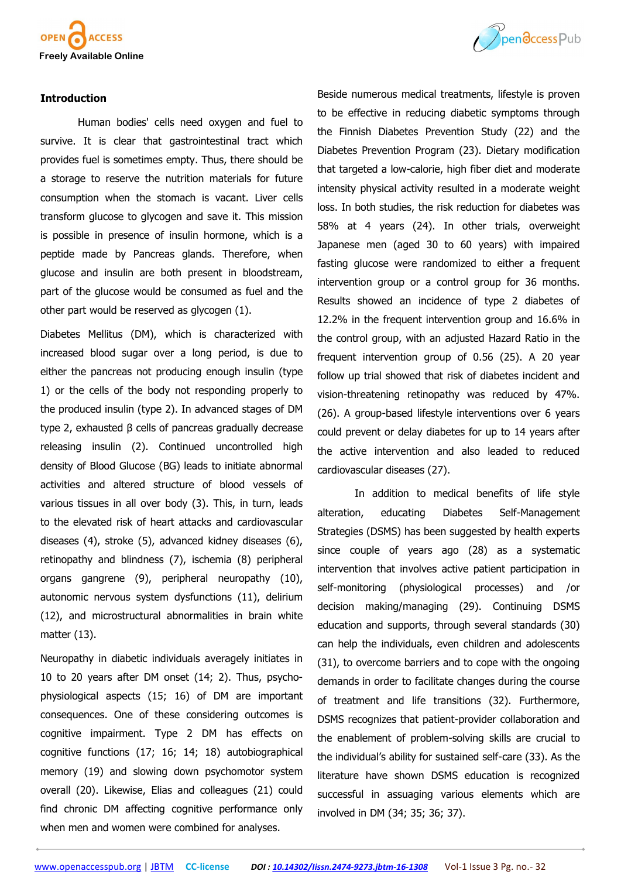

#### **Introduction**

Human bodies' cells need oxygen and fuel to survive. It is clear that gastrointestinal tract which provides fuel is sometimes empty. Thus, there should be a storage to reserve the nutrition materials for future consumption when the stomach is vacant. Liver cells transform glucose to glycogen and save it. This mission is possible in presence of insulin hormone, which is a peptide made by Pancreas glands. Therefore, when glucose and insulin are both present in bloodstream, part of the glucose would be consumed as fuel and the other part would be reserved as glycogen (1).

Diabetes Mellitus (DM), which is characterized with increased blood sugar over a long period, is due to either the pancreas not producing enough insulin (type 1) or the cells of the body not responding properly to the produced insulin (type 2). In advanced stages of DM type 2, exhausted β cells of pancreas gradually decrease releasing insulin (2). Continued uncontrolled high density of Blood Glucose (BG) leads to initiate abnormal activities and altered structure of blood vessels of various tissues in all over body (3). This, in turn, leads to the elevated risk of heart attacks and cardiovascular diseases (4), stroke (5), advanced kidney diseases (6), retinopathy and blindness (7), ischemia (8) peripheral organs gangrene (9), peripheral neuropathy (10), autonomic nervous system dysfunctions (11), delirium (12), and microstructural abnormalities in brain white matter (13).

Neuropathy in diabetic individuals averagely initiates in 10 to 20 years after DM onset (14; 2). Thus, psychophysiological aspects (15; 16) of DM are important consequences. One of these considering outcomes is cognitive impairment. Type 2 DM has effects on cognitive functions (17; 16; 14; 18) autobiographical memory (19) and slowing down psychomotor system overall (20). Likewise, Elias and colleagues (21) could find chronic DM affecting cognitive performance only when men and women were combined for analyses.



Beside numerous medical treatments, lifestyle is proven to be effective in reducing diabetic symptoms through the Finnish Diabetes Prevention Study (22) and the Diabetes Prevention Program (23). Dietary modification that targeted a low-calorie, high fiber diet and moderate intensity physical activity resulted in a moderate weight loss. In both studies, the risk reduction for diabetes was 58% at 4 years (24). In other trials, overweight Japanese men (aged 30 to 60 years) with impaired fasting glucose were randomized to either a frequent intervention group or a control group for 36 months. Results showed an incidence of type 2 diabetes of 12.2% in the frequent intervention group and 16.6% in the control group, with an adjusted Hazard Ratio in the frequent intervention group of 0.56 (25). A 20 year follow up trial showed that risk of diabetes incident and vision-threatening retinopathy was reduced by 47%. (26). A group-based lifestyle interventions over 6 years could prevent or delay diabetes for up to 14 years after the active intervention and also leaded to reduced cardiovascular diseases (27).

In addition to medical benefits of life style alteration, educating Diabetes Self-Management Strategies (DSMS) has been suggested by health experts since couple of years ago (28) as a systematic intervention that involves active patient participation in self-monitoring (physiological processes) and /or decision making/managing (29). Continuing DSMS education and supports, through several standards (30) can help the individuals, even children and adolescents (31), to overcome barriers and to cope with the ongoing demands in order to facilitate changes during the course of treatment and life transitions (32). Furthermore, DSMS recognizes that patient-provider collaboration and the enablement of problem-solving skills are crucial to the individual's ability for sustained self-care (33). As the literature have shown DSMS education is recognized successful in assuaging various elements which are involved in DM (34; 35; 36; 37).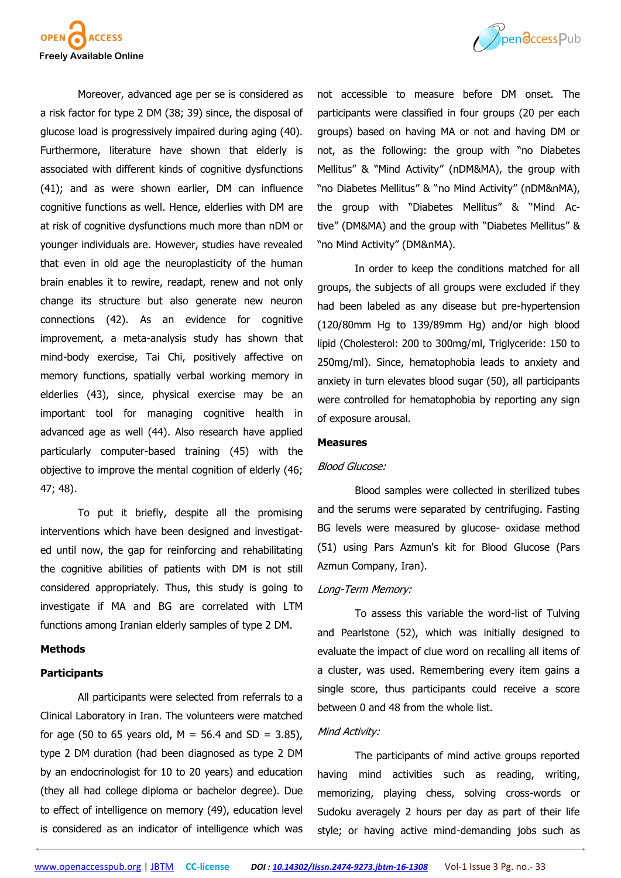

Moreover, advanced age per se is considered as a risk factor for type 2 DM (38; 39) since, the disposal of glucose load is progressively impaired during aging (40). Furthermore, literature have shown that elderly is associated with different kinds of cognitive dysfunctions (41); and as were shown earlier, DM can influence cognitive functions as well. Hence, elderlies with DM are at risk of cognitive dysfunctions much more than nDM or younger individuals are. However, studies have revealed that even in old age the neuroplasticity of the human brain enables it to rewire, readapt, renew and not only change its structure but also generate new neuron connections (42). As an evidence for cognitive improvement, a meta-analysis study has shown that mind-body exercise, Tai Chi, positively affective on memory functions, spatially verbal working memory in elderlies (43), since, physical exercise may be an important tool for managing cognitive health in advanced age as well (44). Also research have applied particularly computer-based training (45) with the objective to improve the mental cognition of elderly (46; 47; 48).

To put it briefly, despite all the promising interventions which have been designed and investigated until now, the gap for reinforcing and rehabilitating the cognitive abilities of patients with DM is not still considered appropriately. Thus, this study is going to investigate if MA and BG are correlated with LTM functions among Iranian elderly samples of type 2 DM.

## **Methods**

#### **Participants**

All participants were selected from referrals to a Clinical Laboratory in Iran. The volunteers were matched for age (50 to 65 years old,  $M = 56.4$  and SD = 3.85), type 2 DM duration (had been diagnosed as type 2 DM by an endocrinologist for 10 to 20 years) and education (they all had college diploma or bachelor degree). Due to effect of intelligence on memory (49), education level is considered as an indicator of intelligence which was



not accessible to measure before DM onset. The participants were classified in four groups (20 per each groups) based on having MA or not and having DM or not, as the following: the group with "no Diabetes Mellitus" & "Mind Activity" (nDM&MA), the group with "no Diabetes Mellitus" & "no Mind Activity" (nDM&nMA), the group with "Diabetes Mellitus" & "Mind Active" (DM&MA) and the group with "Diabetes Mellitus" & "no Mind Activity" (DM&nMA).

In order to keep the conditions matched for all groups, the subjects of all groups were excluded if they had been labeled as any disease but pre-hypertension (120/80mm Hg to 139/89mm Hg) and/or high blood lipid (Cholesterol: 200 to 300mg/ml, Triglyceride: 150 to 250mg/ml). Since, hematophobia leads to anxiety and anxiety in turn elevates blood sugar (50), all participants were controlled for hematophobia by reporting any sign of exposure arousal.

#### **Measures**

#### Blood Glucose:

Blood samples were collected in sterilized tubes and the serums were separated by centrifuging. Fasting BG levels were measured by glucose- oxidase method (51) using Pars Azmun's kit for Blood Glucose (Pars Azmun Company, Iran).

#### Long-Term Memory:

To assess this variable the word-list of Tulving and Pearlstone (52), which was initially designed to evaluate the impact of clue word on recalling all items of a cluster, was used. Remembering every item gains a single score, thus participants could receive a score between 0 and 48 from the whole list.

#### Mind Activity:

The participants of mind active groups reported having mind activities such as reading, writing, memorizing, playing chess, solving cross-words or Sudoku averagely 2 hours per day as part of their life style; or having active mind-demanding jobs such as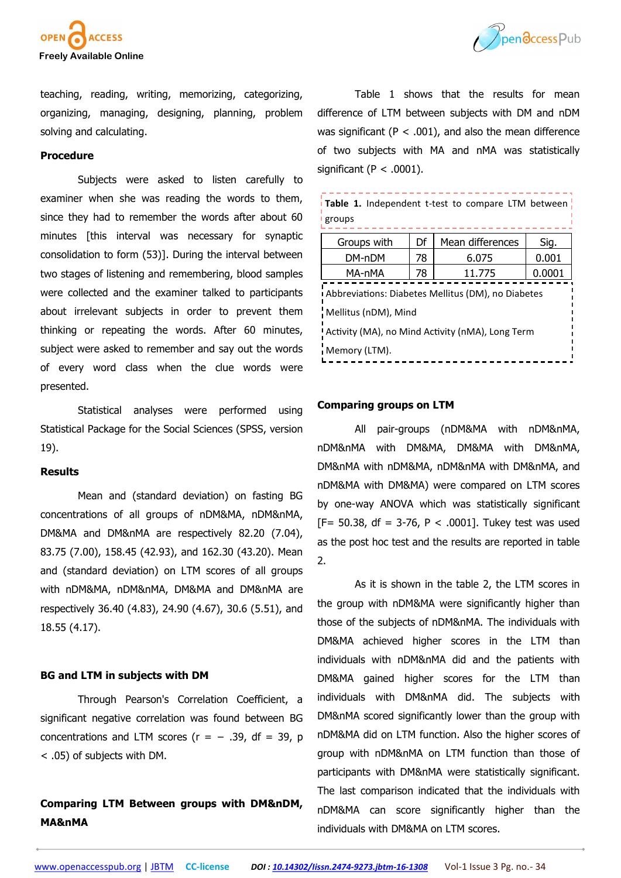



teaching, reading, writing, memorizing, categorizing, organizing, managing, designing, planning, problem solving and calculating.

#### **Procedure**

Subjects were asked to listen carefully to examiner when she was reading the words to them, since they had to remember the words after about 60 minutes [this interval was necessary for synaptic consolidation to form (53)]. During the interval between two stages of listening and remembering, blood samples were collected and the examiner talked to participants about irrelevant subjects in order to prevent them thinking or repeating the words. After 60 minutes, subject were asked to remember and say out the words of every word class when the clue words were presented.

Statistical analyses were performed using Statistical Package for the Social Sciences (SPSS, version 19).

## **Results**

Mean and (standard deviation) on fasting BG concentrations of all groups of nDM&MA, nDM&nMA, DM&MA and DM&nMA are respectively 82.20 (7.04), 83.75 (7.00), 158.45 (42.93), and 162.30 (43.20). Mean and (standard deviation) on LTM scores of all groups with nDM&MA, nDM&nMA, DM&MA and DM&nMA are respectively 36.40 (4.83), 24.90 (4.67), 30.6 (5.51), and 18.55 (4.17).

#### **BG and LTM in subjects with DM**

Through Pearson's Correlation Coefficient, a significant negative correlation was found between BG concentrations and LTM scores  $(r = -0.39, df = 39, p$ < .05) of subjects with DM.

# **Comparing LTM Between groups with DM&nDM, MA&nMA**

Table 1 shows that the results for mean difference of LTM between subjects with DM and nDM was significant ( $P < .001$ ), and also the mean difference of two subjects with MA and nMA was statistically significant ( $P < .0001$ ).

| Table 1. Independent t-test to compare LTM between<br>groups               |    |                  |        |  |
|----------------------------------------------------------------------------|----|------------------|--------|--|
| Groups with                                                                | Df | Mean differences | Sig.   |  |
| DM-nDM                                                                     | 78 | 6.075            | 0.001  |  |
| MA-nMA                                                                     | 78 | 11.775           | 0.0001 |  |
| Abbreviations: Diabetes Mellitus (DM), no Diabetes<br>Mellitus (nDM), Mind |    |                  |        |  |
| I Activity (MA), no Mind Activity (nMA), Long Term                         |    |                  |        |  |
| Memory (LTM).                                                              |    |                  |        |  |

#### **Comparing groups on LTM**

All pair-groups (nDM&MA with nDM&nMA, nDM&nMA with DM&MA, DM&MA with DM&nMA, DM&nMA with nDM&MA, nDM&nMA with DM&nMA, and nDM&MA with DM&MA) were compared on LTM scores by one-way ANOVA which was statistically significant  $[F= 50.38, df = 3-76, P < .0001$ ]. Tukey test was used as the post hoc test and the results are reported in table 2.

As it is shown in the table 2, the LTM scores in the group with nDM&MA were significantly higher than those of the subjects of nDM&nMA. The individuals with DM&MA achieved higher scores in the LTM than individuals with nDM&nMA did and the patients with DM&MA gained higher scores for the LTM than individuals with DM&nMA did. The subjects with DM&nMA scored significantly lower than the group with nDM&MA did on LTM function. Also the higher scores of group with nDM&nMA on LTM function than those of participants with DM&nMA were statistically significant. The last comparison indicated that the individuals with nDM&MA can score significantly higher than the individuals with DM&MA on LTM scores.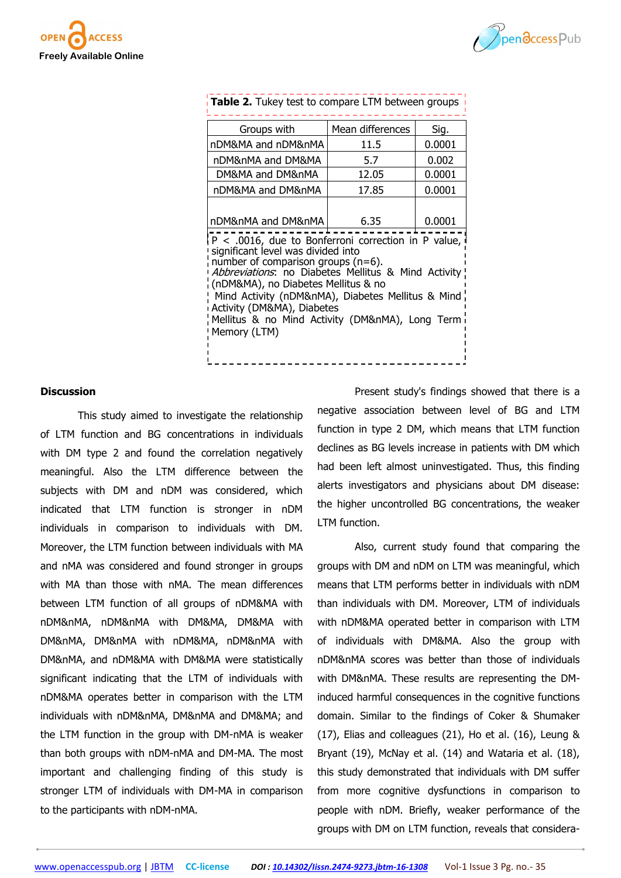



| Groups with                                                                                                                                                                                                                                                                                                                                                                                                                         | Mean differences | Sig.   |  |  |
|-------------------------------------------------------------------------------------------------------------------------------------------------------------------------------------------------------------------------------------------------------------------------------------------------------------------------------------------------------------------------------------------------------------------------------------|------------------|--------|--|--|
| nDM&MA and nDM&nMA                                                                                                                                                                                                                                                                                                                                                                                                                  | 11.5             | 0.0001 |  |  |
| nDM&nMA and DM&MA                                                                                                                                                                                                                                                                                                                                                                                                                   | 5.7              | 0.002  |  |  |
| DM&MA and DM&nMA                                                                                                                                                                                                                                                                                                                                                                                                                    | 12.05            | 0.0001 |  |  |
| nDM&MA and DM&nMA                                                                                                                                                                                                                                                                                                                                                                                                                   | 17.85            | 0.0001 |  |  |
| nDM&nMA and DM&nMA<br>6.35<br>0.0001<br>$P < .0016$ , due to Bonferroni correction in P value,<br>significant level was divided into<br>number of comparison groups $(n=6)$ .<br>Abbreviations: no Diabetes Mellitus & Mind Activity<br>(nDM&MA), no Diabetes Mellitus & no<br>! Mind Activity (nDM&nMA), Diabetes Mellitus & Mind<br>Activity (DM&MA), Diabetes<br>Mellitus & no Mind Activity (DM&nMA), Long Term<br>Memory (LTM) |                  |        |  |  |

# **Table 2.** Tukey test to compare LTM between groups

#### **Discussion**

This study aimed to investigate the relationship of LTM function and BG concentrations in individuals with DM type 2 and found the correlation negatively meaningful. Also the LTM difference between the subjects with DM and nDM was considered, which indicated that LTM function is stronger in nDM individuals in comparison to individuals with DM. Moreover, the LTM function between individuals with MA and nMA was considered and found stronger in groups with MA than those with nMA. The mean differences between LTM function of all groups of nDM&MA with nDM&nMA, nDM&nMA with DM&MA, DM&MA with DM&nMA, DM&nMA with nDM&MA, nDM&nMA with DM&nMA, and nDM&MA with DM&MA were statistically significant indicating that the LTM of individuals with nDM&MA operates better in comparison with the LTM individuals with nDM&nMA, DM&nMA and DM&MA; and the LTM function in the group with DM-nMA is weaker than both groups with nDM-nMA and DM-MA. The most important and challenging finding of this study is stronger LTM of individuals with DM-MA in comparison to the participants with nDM-nMA.

Present study's findings showed that there is a negative association between level of BG and LTM function in type 2 DM, which means that LTM function declines as BG levels increase in patients with DM which had been left almost uninvestigated. Thus, this finding alerts investigators and physicians about DM disease: the higher uncontrolled BG concentrations, the weaker LTM function.

Also, current study found that comparing the groups with DM and nDM on LTM was meaningful, which means that LTM performs better in individuals with nDM than individuals with DM. Moreover, LTM of individuals with nDM&MA operated better in comparison with LTM of individuals with DM&MA. Also the group with nDM&nMA scores was better than those of individuals with DM&nMA. These results are representing the DMinduced harmful consequences in the cognitive functions domain. Similar to the findings of Coker & Shumaker (17), Elias and colleagues (21), Ho et al. (16), Leung & Bryant (19), McNay et al. (14) and Wataria et al. (18), this study demonstrated that individuals with DM suffer from more cognitive dysfunctions in comparison to people with nDM. Briefly, weaker performance of the groups with DM on LTM function, reveals that considera-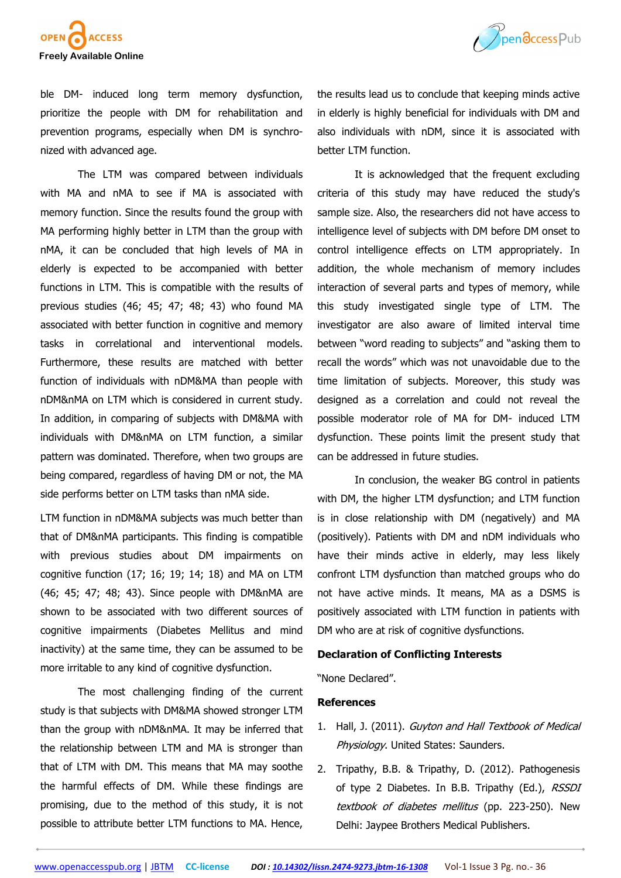



ble DM- induced long term memory dysfunction, prioritize the people with DM for rehabilitation and prevention programs, especially when DM is synchronized with advanced age.

The LTM was compared between individuals with MA and nMA to see if MA is associated with memory function. Since the results found the group with MA performing highly better in LTM than the group with nMA, it can be concluded that high levels of MA in elderly is expected to be accompanied with better functions in LTM. This is compatible with the results of previous studies (46; 45; 47; 48; 43) who found MA associated with better function in cognitive and memory tasks in correlational and interventional models. Furthermore, these results are matched with better function of individuals with nDM&MA than people with nDM&nMA on LTM which is considered in current study. In addition, in comparing of subjects with DM&MA with individuals with DM&nMA on LTM function, a similar pattern was dominated. Therefore, when two groups are being compared, regardless of having DM or not, the MA side performs better on LTM tasks than nMA side.

LTM function in nDM&MA subjects was much better than that of DM&nMA participants. This finding is compatible with previous studies about DM impairments on cognitive function (17; 16; 19; 14; 18) and MA on LTM (46; 45; 47; 48; 43). Since people with DM&nMA are shown to be associated with two different sources of cognitive impairments (Diabetes Mellitus and mind inactivity) at the same time, they can be assumed to be more irritable to any kind of cognitive dysfunction.

The most challenging finding of the current study is that subjects with DM&MA showed stronger LTM than the group with nDM&nMA. It may be inferred that the relationship between LTM and MA is stronger than that of LTM with DM. This means that MA may soothe the harmful effects of DM. While these findings are promising, due to the method of this study, it is not possible to attribute better LTM functions to MA. Hence,

the results lead us to conclude that keeping minds active in elderly is highly beneficial for individuals with DM and also individuals with nDM, since it is associated with better LTM function.

It is acknowledged that the frequent excluding criteria of this study may have reduced the study's sample size. Also, the researchers did not have access to intelligence level of subjects with DM before DM onset to control intelligence effects on LTM appropriately. In addition, the whole mechanism of memory includes interaction of several parts and types of memory, while this study investigated single type of LTM. The investigator are also aware of limited interval time between "word reading to subjects" and "asking them to recall the words" which was not unavoidable due to the time limitation of subjects. Moreover, this study was designed as a correlation and could not reveal the possible moderator role of MA for DM- induced LTM dysfunction. These points limit the present study that can be addressed in future studies.

In conclusion, the weaker BG control in patients with DM, the higher LTM dysfunction; and LTM function is in close relationship with DM (negatively) and MA (positively). Patients with DM and nDM individuals who have their minds active in elderly, may less likely confront LTM dysfunction than matched groups who do not have active minds. It means, MA as a DSMS is positively associated with LTM function in patients with DM who are at risk of cognitive dysfunctions.

#### **Declaration of Conflicting Interests**

"None Declared".

## **References**

- 1. Hall, J. (2011). Guyton and Hall Textbook of Medical Physiology. United States: Saunders.
- 2. Tripathy, B.B. & Tripathy, D. (2012). Pathogenesis of type 2 Diabetes. In B.B. Tripathy (Ed.), RSSDI textbook of diabetes mellitus (pp. 223-250). New Delhi: Jaypee Brothers Medical Publishers.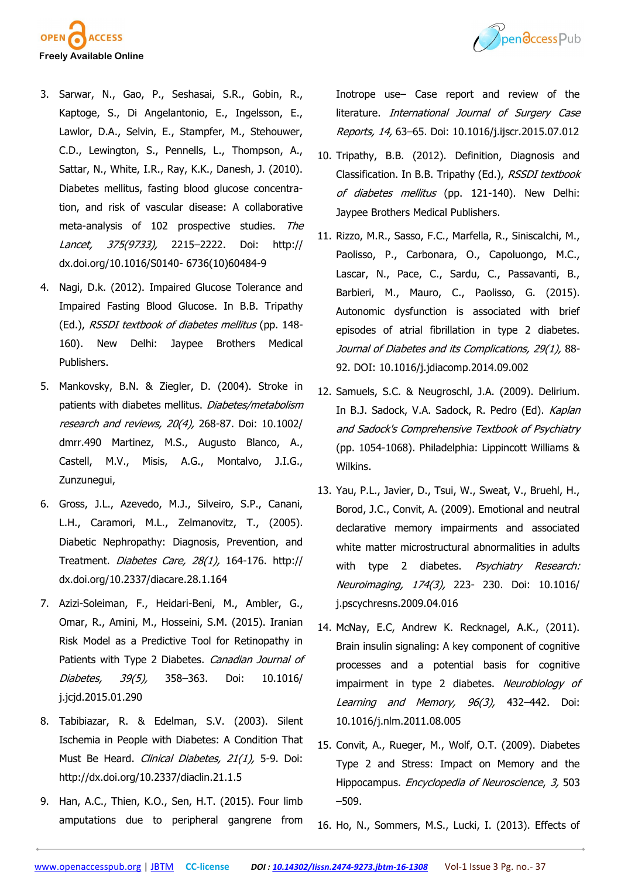

- Pendccess Pub
- 3. Sarwar, N., Gao, P., Seshasai, S.R., Gobin, R., Kaptoge, S., Di Angelantonio, E., Ingelsson, E., Lawlor, D.A., Selvin, E., Stampfer, M., Stehouwer, C.D., Lewington, S., Pennells, L., Thompson, A., Sattar, N., White, I.R., Ray, K.K., Danesh, J. (2010). Diabetes mellitus, fasting blood glucose concentration, and risk of vascular disease: A collaborative meta-analysis of 102 prospective studies. The Lancet, 375(9733), 2215–2222. Doi: http:// dx.doi.org/10.1016/S0140- 6736(10)60484-9
- 4. Nagi, D.k. (2012). Impaired Glucose Tolerance and Impaired Fasting Blood Glucose. In B.B. Tripathy (Ed.), RSSDI textbook of diabetes mellitus (pp. 148- 160). New Delhi: Jaypee Brothers Medical Publishers.
- 5. Mankovsky, B.N. & Ziegler, D. (2004). Stroke in patients with diabetes mellitus. Diabetes/metabolism research and reviews, 20(4), 268-87. Doi: 10.1002/ dmrr.490 Martinez, M.S., Augusto Blanco, A., Castell, M.V., Misis, A.G., Montalvo, J.I.G., Zunzunegui,
- 6. Gross, J.L., Azevedo, M.J., Silveiro, S.P., Canani, L.H., Caramori, M.L., Zelmanovitz, T., (2005). Diabetic Nephropathy: Diagnosis, Prevention, and Treatment. Diabetes Care, 28(1), 164-176. http:// dx.doi.org/10.2337/diacare.28.1.164
- 7. Azizi-Soleiman, F., Heidari-Beni, M., Ambler, G., Omar, R., Amini, M., Hosseini, S.M. (2015). Iranian Risk Model as a Predictive Tool for Retinopathy in Patients with Type 2 Diabetes. Canadian Journal of Diabetes, 39(5), 358–363. Doi: 10.1016/ j.jcjd.2015.01.290
- 8. Tabibiazar, R. & Edelman, S.V. (2003). Silent Ischemia in People with Diabetes: A Condition That Must Be Heard. Clinical Diabetes, 21(1), 5-9. Doi: http://dx.doi.org/10.2337/diaclin.21.1.5
- 9. Han, A.C., Thien, K.O., Sen, H.T. (2015). Four limb amputations due to peripheral gangrene from

Inotrope use– Case report and review of the literature. International Journal of Surgery Case Reports, 14, 63–65. Doi: 10.1016/j.ijscr.2015.07.012

- 10. Tripathy, B.B. (2012). Definition, Diagnosis and Classification. In B.B. Tripathy (Ed.), RSSDI textbook of diabetes mellitus (pp. 121-140). New Delhi: Jaypee Brothers Medical Publishers.
- 11. Rizzo, M.R., Sasso, F.C., Marfella, R., Siniscalchi, M., Paolisso, P., Carbonara, O., Capoluongo, M.C., Lascar, N., Pace, C., Sardu, C., Passavanti, B., Barbieri, M., Mauro, C., Paolisso, G. (2015). Autonomic dysfunction is associated with brief episodes of atrial fibrillation in type 2 diabetes. Journal of Diabetes and its Complications, 29(1), 88- 92. DOI: 10.1016/j.jdiacomp.2014.09.002
- 12. Samuels, S.C. & Neugroschl, J.A. (2009). Delirium. In B.J. Sadock, V.A. Sadock, R. Pedro (Ed). Kaplan and Sadock's Comprehensive Textbook of Psychiatry (pp. 1054-1068). Philadelphia: Lippincott Williams & Wilkins.
- 13. Yau, P.L., Javier, D., Tsui, W., Sweat, V., Bruehl, H., Borod, J.C., Convit, A. (2009). Emotional and neutral declarative memory impairments and associated white matter microstructural abnormalities in adults with type 2 diabetes. Psychiatry Research: Neuroimaging, 174(3), 223- 230. Doi: 10.1016/ j.pscychresns.2009.04.016
- 14. McNay, E.C, Andrew K. Recknagel, A.K., (2011). Brain insulin signaling: A key component of cognitive processes and a potential basis for cognitive impairment in type 2 diabetes. Neurobiology of Learning and Memory, 96(3), 432-442. Doi: 10.1016/j.nlm.2011.08.005
- 15. Convit, A., Rueger, M., Wolf, O.T. (2009). Diabetes Type 2 and Stress: Impact on Memory and the Hippocampus. Encyclopedia of Neuroscience, 3, 503 –509.
- 16. Ho, N., Sommers, M.S., Lucki, I. (2013). Effects of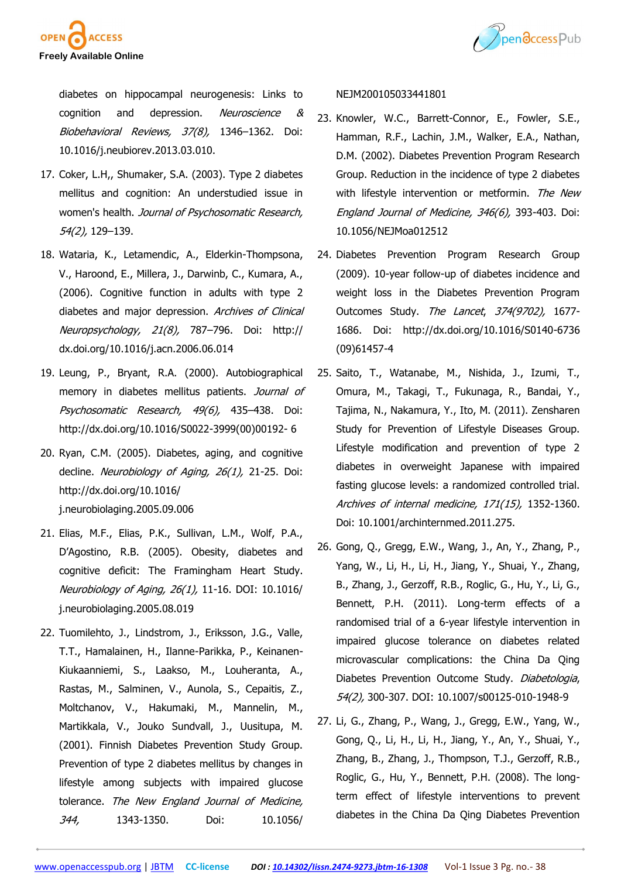



diabetes on hippocampal neurogenesis: Links to cognition and depression. Neuroscience & Biobehavioral Reviews, 37(8), 1346–1362. Doi: 10.1016/j.neubiorev.2013.03.010.

- 17. Coker, L.H,, Shumaker, S.A. (2003). Type 2 diabetes mellitus and cognition: An understudied issue in women's health. Journal of Psychosomatic Research, 54(2), 129–139.
- 18. Wataria, K., Letamendic, A., Elderkin-Thompsona, V., Haroond, E., Millera, J., Darwinb, C., Kumara, A., (2006). Cognitive function in adults with type 2 diabetes and major depression. Archives of Clinical Neuropsychology, 21(8), 787–796. Doi: http:// dx.doi.org/10.1016/j.acn.2006.06.014
- 19. Leung, P., Bryant, R.A. (2000). Autobiographical memory in diabetes mellitus patients. Journal of Psychosomatic Research, 49(6), 435-438. Doi: http://dx.doi.org/10.1016/S0022-3999(00)00192- 6
- 20. Ryan, C.M. (2005). Diabetes, aging, and cognitive decline. Neurobiology of Aging, 26(1), 21-25. Doi: http://dx.doi.org/10.1016/ j.neurobiolaging.2005.09.006
- 21. Elias, M.F., Elias, P.K., Sullivan, L.M., Wolf, P.A., D'Agostino, R.B. (2005). Obesity, diabetes and cognitive deficit: The Framingham Heart Study. Neurobiology of Aging, 26(1), 11-16. DOI: 10.1016/ j.neurobiolaging.2005.08.019
- 22. Tuomilehto, J., Lindstrom, J., Eriksson, J.G., Valle, T.T., Hamalainen, H., Ilanne-Parikka, P., Keinanen-Kiukaanniemi, S., Laakso, M., Louheranta, A., Rastas, M., Salminen, V., Aunola, S., Cepaitis, Z., Moltchanov, V., Hakumaki, M., Mannelin, M., Martikkala, V., Jouko Sundvall, J., Uusitupa, M. (2001). Finnish Diabetes Prevention Study Group. Prevention of type 2 diabetes mellitus by changes in lifestyle among subjects with impaired glucose tolerance. The New England Journal of Medicine, 344, 1343-1350. Doi: 10.1056/

#### NEJM200105033441801

- 23. Knowler, W.C., Barrett-Connor, E., Fowler, S.E., Hamman, R.F., Lachin, J.M., Walker, E.A., Nathan, D.M. (2002). Diabetes Prevention Program Research Group. Reduction in the incidence of type 2 diabetes with lifestyle intervention or metformin. The New England Journal of Medicine, 346(6), 393-403. Doi: 10.1056/NEJMoa012512
- 24. Diabetes Prevention Program Research Group (2009). 10-year follow-up of diabetes incidence and weight loss in the Diabetes Prevention Program Outcomes Study. The Lancet, 374(9702), 1677- 1686. Doi: http://dx.doi.org/10.1016/S0140-6736 (09)61457-4
- 25. Saito, T., Watanabe, M., Nishida, J., Izumi, T., Omura, M., Takagi, T., Fukunaga, R., Bandai, Y., Tajima, N., Nakamura, Y., Ito, M. (2011). Zensharen Study for Prevention of Lifestyle Diseases Group. Lifestyle modification and prevention of type 2 diabetes in overweight Japanese with impaired fasting glucose levels: a randomized controlled trial. Archives of internal medicine, 171(15), 1352-1360. Doi: 10.1001/archinternmed.2011.275.
- 26. Gong, Q., Gregg, E.W., Wang, J., An, Y., Zhang, P., Yang, W., Li, H., Li, H., Jiang, Y., Shuai, Y., Zhang, B., Zhang, J., Gerzoff, R.B., Roglic, G., Hu, Y., Li, G., Bennett, P.H. (2011). Long-term effects of a randomised trial of a 6-year lifestyle intervention in impaired glucose tolerance on diabetes related microvascular complications: the China Da Qing Diabetes Prevention Outcome Study. Diabetologia, 54(2), 300-307. DOI: 10.1007/s00125-010-1948-9
- 27. Li, G., Zhang, P., Wang, J., Gregg, E.W., Yang, W., Gong, Q., Li, H., Li, H., Jiang, Y., An, Y., Shuai, Y., Zhang, B., Zhang, J., Thompson, T.J., Gerzoff, R.B., Roglic, G., Hu, Y., Bennett, P.H. (2008). The longterm effect of lifestyle interventions to prevent diabetes in the China Da Qing Diabetes Prevention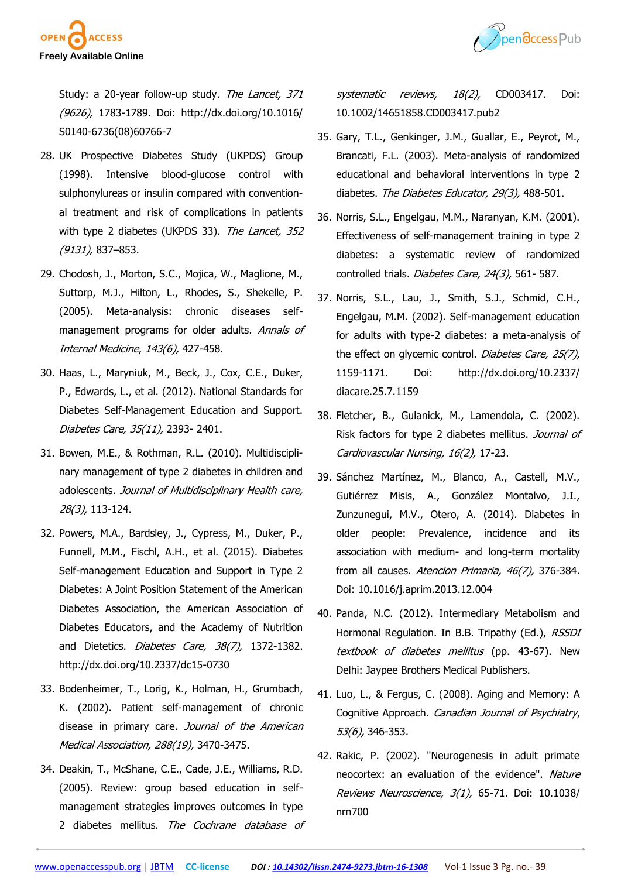

Pendccess Pub

Study: a 20-year follow-up study. The Lancet, 371 (9626), 1783-1789. Doi: http://dx.doi.org/10.1016/ S0140-6736(08)60766-7

- 28. UK Prospective Diabetes Study (UKPDS) Group (1998). Intensive blood-glucose control with sulphonylureas or insulin compared with conventional treatment and risk of complications in patients with type 2 diabetes (UKPDS 33). The Lancet, 352 (9131), 837–853.
- 29. Chodosh, J., Morton, S.C., Mojica, W., Maglione, M., Suttorp, M.J., Hilton, L., Rhodes, S., Shekelle, P. (2005). Meta-analysis: chronic diseases selfmanagement programs for older adults. Annals of Internal Medicine, 143(6), 427-458.
- 30. Haas, L., Maryniuk, M., Beck, J., Cox, C.E., Duker, P., Edwards, L., et al. (2012). National Standards for Diabetes Self-Management Education and Support. Diabetes Care, 35(11), 2393- 2401.
- 31. Bowen, M.E., & Rothman, R.L. (2010). Multidisciplinary management of type 2 diabetes in children and adolescents. Journal of Multidisciplinary Health care, 28(3), 113-124.
- 32. Powers, M.A., Bardsley, J., Cypress, M., Duker, P., Funnell, M.M., Fischl, A.H., et al. (2015). Diabetes Self-management Education and Support in Type 2 Diabetes: A Joint Position Statement of the American Diabetes Association, the American Association of Diabetes Educators, and the Academy of Nutrition and Dietetics. Diabetes Care, 38(7), 1372-1382. http://dx.doi.org/10.2337/dc15-0730
- 33. Bodenheimer, T., Lorig, K., Holman, H., Grumbach, K. (2002). Patient self-management of chronic disease in primary care. Journal of the American Medical Association, 288(19), 3470-3475.
- 34. Deakin, T., McShane, C.E., Cade, J.E., Williams, R.D. (2005). Review: group based education in selfmanagement strategies improves outcomes in type 2 diabetes mellitus. The Cochrane database of

systematic reviews, 18(2), CD003417. Doi: 10.1002/14651858.CD003417.pub2

- 35. Gary, T.L., Genkinger, J.M., Guallar, E., Peyrot, M., Brancati, F.L. (2003). Meta-analysis of randomized educational and behavioral interventions in type 2 diabetes. The Diabetes Educator, 29(3), 488-501.
- 36. Norris, S.L., Engelgau, M.M., Naranyan, K.M. (2001). Effectiveness of self-management training in type 2 diabetes: a systematic review of randomized controlled trials. Diabetes Care, 24(3), 561-587.
- 37. Norris, S.L., Lau, J., Smith, S.J., Schmid, C.H., Engelgau, M.M. (2002). Self-management education for adults with type-2 diabetes: a meta-analysis of the effect on glycemic control. Diabetes Care, 25(7), 1159-1171. Doi: http://dx.doi.org/10.2337/ diacare.25.7.1159
- 38. Fletcher, B., Gulanick, M., Lamendola, C. (2002). Risk factors for type 2 diabetes mellitus. Journal of Cardiovascular Nursing, 16(2), 17-23.
- 39. Sánchez Martínez, M., Blanco, A., Castell, M.V., Gutiérrez Misis, A., González Montalvo, J.I., Zunzunegui, M.V., Otero, A. (2014). Diabetes in older people: Prevalence, incidence and its association with medium- and long-term mortality from all causes. Atencion Primaria, 46(7), 376-384. Doi: 10.1016/j.aprim.2013.12.004
- 40. Panda, N.C. (2012). Intermediary Metabolism and Hormonal Regulation. In B.B. Tripathy (Ed.), RSSDI textbook of diabetes mellitus (pp. 43-67). New Delhi: Jaypee Brothers Medical Publishers.
- 41. Luo, L., & Fergus, C. (2008). Aging and Memory: A Cognitive Approach. Canadian Journal of Psychiatry, 53(6), 346-353.
- 42. Rakic, P. (2002). "Neurogenesis in adult primate neocortex: an evaluation of the evidence". Nature Reviews Neuroscience, 3(1), 65-71. Doi: 10.1038/ nrn700